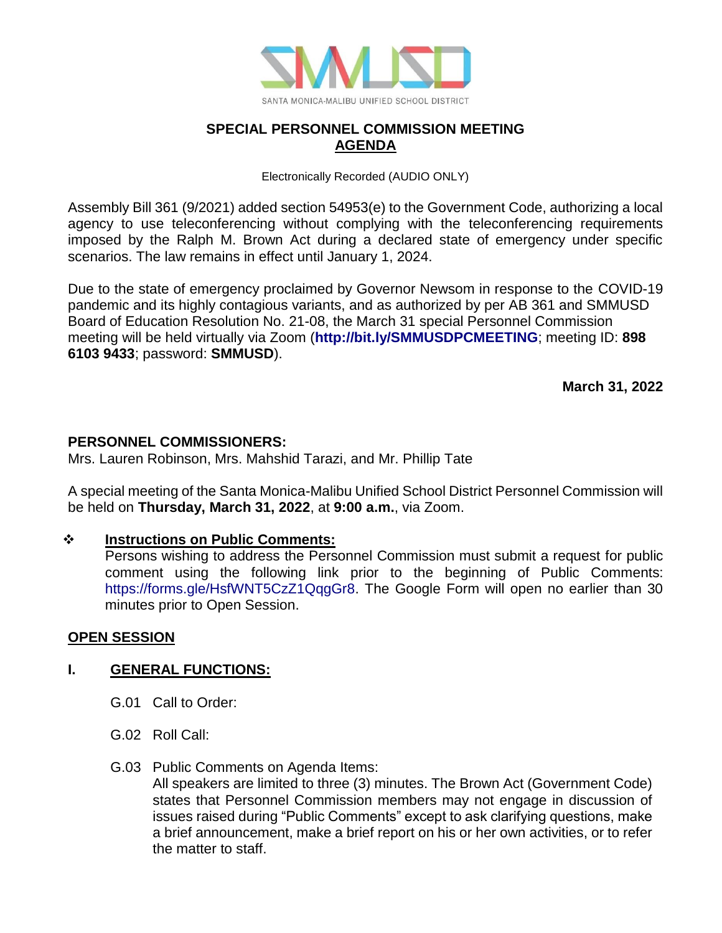

# **SPECIAL PERSONNEL COMMISSION MEETING AGENDA**

Electronically Recorded (AUDIO ONLY)

Assembly Bill 361 (9/2021) added section 54953(e) to the Government Code, authorizing a local agency to use teleconferencing without complying with the teleconferencing requirements imposed by the Ralph M. Brown Act during a declared state of emergency under specific scenarios. The law remains in effect until January 1, 2024.

Due to the state of emergency proclaimed by Governor Newsom in response to the COVID-19 pandemic and its highly contagious variants, and as authorized by per AB 361 and SMMUSD Board of Education Resolution No. 21-08, the March 31 special Personnel Commission meeting will be held virtually via Zoom (**<http://bit.ly/SMMUSDPCMEETING>**; meeting ID: **898 6103 9433**; password: **SMMUSD**).

**March 31, 2022**

# **PERSONNEL COMMISSIONERS:**

Mrs. Lauren Robinson, Mrs. Mahshid Tarazi, and Mr. Phillip Tate

A special meeting of the Santa Monica-Malibu Unified School District Personnel Commission will be held on **Thursday, March 31, 2022**, at **9:00 a.m.**, via Zoom.

## ❖ **Instructions on Public Comments:**

Persons wishing to address the Personnel Commission must submit a request for public comment using the following link prior to the beginning of Public Comments: [https://forms.gle/HsfWNT5CzZ1QqgGr8.](https://forms.gle/HsfWNT5CzZ1QqgGr8) The Google Form will open no earlier than 30 minutes prior to Open Session.

## **OPEN SESSION**

## **I. GENERAL FUNCTIONS:**

- G.01 Call to Order:
- G.02 Roll Call:
- G.03 Public Comments on Agenda Items:

All speakers are limited to three (3) minutes. The Brown Act (Government Code) states that Personnel Commission members may not engage in discussion of issues raised during "Public Comments" except to ask clarifying questions, make a brief announcement, make a brief report on his or her own activities, or to refer the matter to staff.